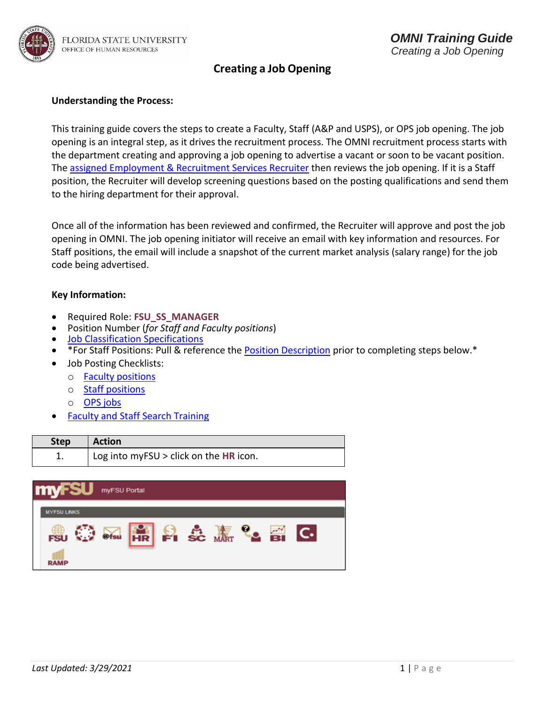

#### **Understanding the Process:**

This training guide covers the steps to create a Faculty, Staff (A&P and USPS), or OPS job opening. The job opening is an integral step, as it drives the recruitment process. The OMNI recruitment process starts with the department creating and approving a job opening to advertise a vacant or soon to be vacant position. Th[e assigned Employment & Recruitment Services Recruiter](https://hr.fsu.edu/PDF/Analyst%20and%20Recruiter%20Departmental%20Assignments.pdf) then reviews the job opening. If it is a Staff position, the Recruiter will develop screening questions based on the posting qualifications and send them to the hiring department for their approval.

Once all of the information has been reviewed and confirmed, the Recruiter will approve and post the job opening in OMNI. The job opening initiator will receive an email with key information and resources. For Staff positions, the email will include a snapshot of the current market analysis (salary range) for the job code being advertised.

#### **Key Information:**

- Required Role: **FSU\_SS\_MANAGER**
- Position Number (*for Staff and Faculty positions*)
- [Job Classification Specifications](https://hrapps.fsu.edu/class_specs_public/)
- \*For Staff Positions: Pull & reference the **Position Description** prior to completing steps below.\*
- Job Posting Checklists:
	- o [Faculty positions](https://hr.fsu.edu/pdf/publications/employment/FacultyRequiredPostingDescriptions_checklist.pdf)
	- o Staff [positions](https://hr.fsu.edu/_content/ers/pdf/job-posting-checklists/staff-checklist.pdf)
	- o [OPS jobs](https://hr.fsu.edu/_content/ers/pdf/job-posting-checklists/ops-checklist.pdf)
- [Faculty and Staff Search Training](https://www.hr.fsu.edu/sites/g/files/upcbnu2186/files/PDF/News_Events/FacultyStaffSearchTraining.pdf)

| <b>Step</b> | <b>Action</b>                          |
|-------------|----------------------------------------|
|             | Log into myFSU > click on the HR icon. |

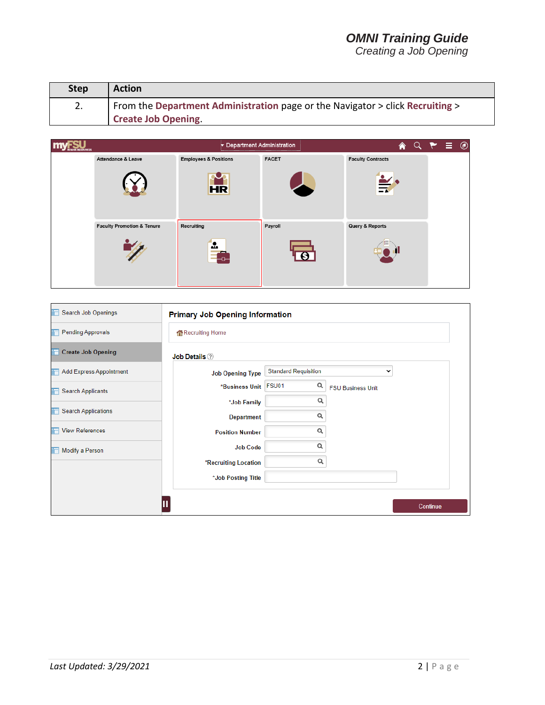| <b>Step</b> | <b>Action</b>                                                                 |
|-------------|-------------------------------------------------------------------------------|
| 2.          | From the Department Administration page or the Navigator > click Recruiting > |
|             | <b>Create Job Opening.</b>                                                    |



| Search Job Openings<br>n         | <b>Primary Job Opening Information</b> |                             |                          |             |
|----------------------------------|----------------------------------------|-----------------------------|--------------------------|-------------|
| <b>Pending Approvals</b><br>tin  | Recruiting Home                        |                             |                          |             |
| <b>Create Job Opening</b><br>iT. | <b>Job Details</b> 2                   |                             |                          |             |
| Add Express Appointment<br>in.   | <b>Job Opening Type</b>                | <b>Standard Requisition</b> |                          | $\check{ }$ |
| <b>Search Applicants</b><br>F    | *Business Unit                         | Q<br>FSU01                  | <b>FSU Business Unit</b> |             |
|                                  | *Job Family                            | Q                           |                          |             |
| <b>Search Applications</b>       | <b>Department</b>                      | Q                           |                          |             |
| <b>View References</b>           | <b>Position Number</b>                 | Q                           |                          |             |
| Modify a Person<br>Ħ             | <b>Job Code</b>                        | Q                           |                          |             |
|                                  | *Recruiting Location                   | Q                           |                          |             |
|                                  | *Job Posting Title                     |                             |                          |             |
|                                  |                                        |                             |                          |             |
|                                  |                                        |                             |                          | Continue    |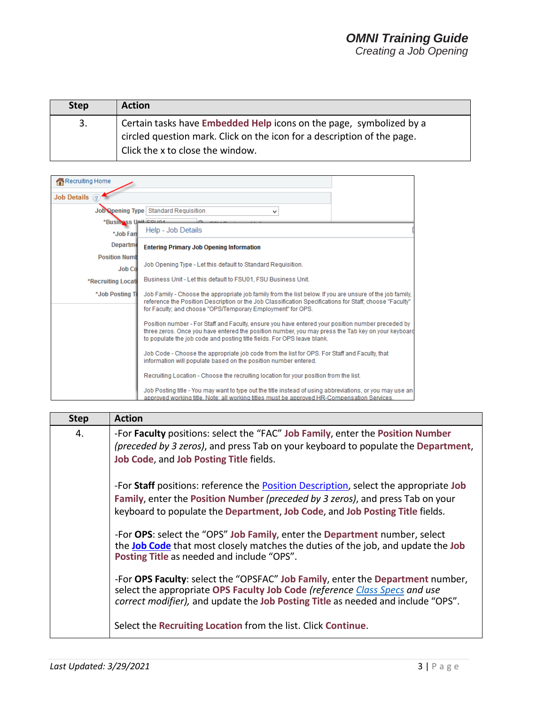| <b>Step</b> | <b>Action</b>                                                                                                                                                                      |
|-------------|------------------------------------------------------------------------------------------------------------------------------------------------------------------------------------|
| 3.          | Certain tasks have Embedded Help icons on the page, symbolized by a<br>circled question mark. Click on the icon for a description of the page.<br>Click the x to close the window. |

| Recruiting Home                       |                                                                                                                                                                                                                                                                                    |  |
|---------------------------------------|------------------------------------------------------------------------------------------------------------------------------------------------------------------------------------------------------------------------------------------------------------------------------------|--|
| Job Details ?                         |                                                                                                                                                                                                                                                                                    |  |
|                                       | Job Opening Type   Standard Requisition<br>v                                                                                                                                                                                                                                       |  |
| *Business Unit Felina                 |                                                                                                                                                                                                                                                                                    |  |
| *Job Fam                              | Help - Job Details                                                                                                                                                                                                                                                                 |  |
| Departme                              | <b>Entering Primary Job Opening Information</b>                                                                                                                                                                                                                                    |  |
| <b>Position Numb</b><br><b>Job Co</b> | Job Opening Type - Let this default to Standard Requisition.                                                                                                                                                                                                                       |  |
| *Recruiting Locati                    | Business Unit - Let this default to FSU01, FSU Business Unit.                                                                                                                                                                                                                      |  |
| *Job Posting Ti                       | Job Family - Choose the appropriate job family from the list below. If you are unsure of the job family,<br>reference the Position Description or the Job Classification Specifications for Staff; choose "Faculty"<br>for Faculty; and choose "OPS/Temporary Employment" for OPS. |  |
|                                       | Position number - For Staff and Faculty, ensure you have entered your position number preceded by<br>three zeros. Once you have entered the position number, you may press the Tab key on your keyboard<br>to populate the job code and posting title fields. For OPS leave blank. |  |
|                                       | Job Code - Choose the appropriate job code from the list for OPS. For Staff and Faculty, that<br>information will populate based on the position number entered.                                                                                                                   |  |
|                                       | Recruiting Location - Choose the recruiting location for your position from the list.                                                                                                                                                                                              |  |
|                                       | Job Posting title - You may want to type out the title instead of using abbreviations, or you may use an<br>approved working title. Note: all working titles must be approved HR-Compensation Services.                                                                            |  |

| <b>Step</b> | <b>Action</b>                                                                                                                                                                                                                                                  |
|-------------|----------------------------------------------------------------------------------------------------------------------------------------------------------------------------------------------------------------------------------------------------------------|
| 4.          | -For Faculty positions: select the "FAC" Job Family, enter the Position Number<br>(preceded by 3 zeros), and press Tab on your keyboard to populate the Department,<br>Job Code, and Job Posting Title fields.                                                 |
|             | -For Staff positions: reference the <b>Position Description</b> , select the appropriate Job<br>Family, enter the Position Number (preceded by 3 zeros), and press Tab on your<br>keyboard to populate the Department, Job Code, and Job Posting Title fields. |
|             | -For OPS: select the "OPS" Job Family, enter the Department number, select<br>the <b>Job Code</b> that most closely matches the duties of the job, and update the Job<br>Posting Title as needed and include "OPS".                                            |
|             | -For OPS Faculty: select the "OPSFAC" Job Family, enter the Department number,<br>select the appropriate OPS Faculty Job Code (reference Class Specs and use<br>correct modifier), and update the Job Posting Title as needed and include "OPS".               |
|             | Select the Recruiting Location from the list. Click Continue.                                                                                                                                                                                                  |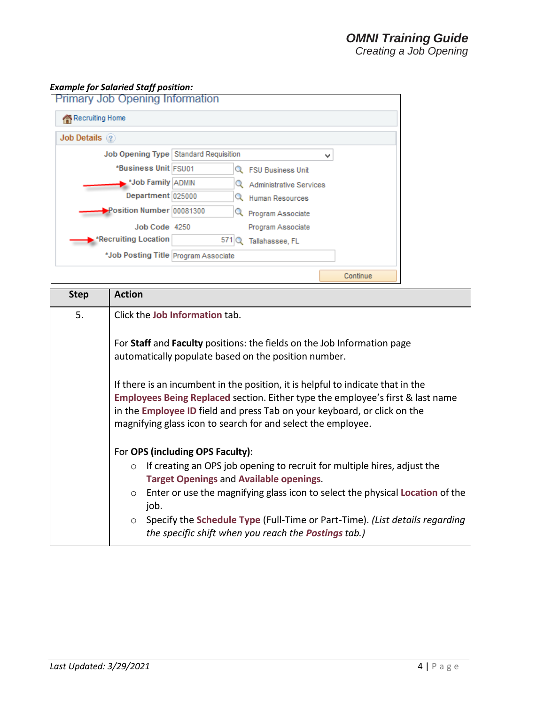#### *Example for Salaried Staff position:*

| <b>Primary Job Opening Information</b><br>Recruiting Home |                                         |                         |          |
|-----------------------------------------------------------|-----------------------------------------|-------------------------|----------|
| <b>Job Details</b> ?                                      |                                         |                         |          |
|                                                           | Job Opening Type   Standard Requisition |                         | v        |
| *Business Unit FSU01                                      |                                         | Q FSU Business Unit     |          |
| *Job Family ADMIN                                         |                                         | Administrative Services |          |
| Department 025000                                         |                                         | Resources               |          |
| Position Number 00081300                                  |                                         | Program Associate       |          |
| Job Code 4250                                             |                                         | Program Associate       |          |
| <b>*Recruiting Location</b>                               | 571                                     | Tallahassee, FL         |          |
| *Job Posting Title Program Associate                      |                                         |                         |          |
|                                                           |                                         |                         | Continue |

| <b>Step</b> | <b>Action</b>                                                                                                                                                                                                                                                                                                            |
|-------------|--------------------------------------------------------------------------------------------------------------------------------------------------------------------------------------------------------------------------------------------------------------------------------------------------------------------------|
| 5.          | Click the Job Information tab.                                                                                                                                                                                                                                                                                           |
|             | For Staff and Faculty positions: the fields on the Job Information page<br>automatically populate based on the position number.                                                                                                                                                                                          |
|             | If there is an incumbent in the position, it is helpful to indicate that in the<br><b>Employees Being Replaced section. Either type the employee's first &amp; last name</b><br>in the Employee ID field and press Tab on your keyboard, or click on the<br>magnifying glass icon to search for and select the employee. |
|             | For OPS (including OPS Faculty):                                                                                                                                                                                                                                                                                         |
|             | If creating an OPS job opening to recruit for multiple hires, adjust the<br>$\circ$<br><b>Target Openings and Available openings.</b>                                                                                                                                                                                    |
|             | Enter or use the magnifying glass icon to select the physical Location of the<br>$\circ$<br>job.                                                                                                                                                                                                                         |
|             | ○ Specify the Schedule Type (Full-Time or Part-Time). (List details regarding<br>the specific shift when you reach the <b>Postings</b> tab.)                                                                                                                                                                             |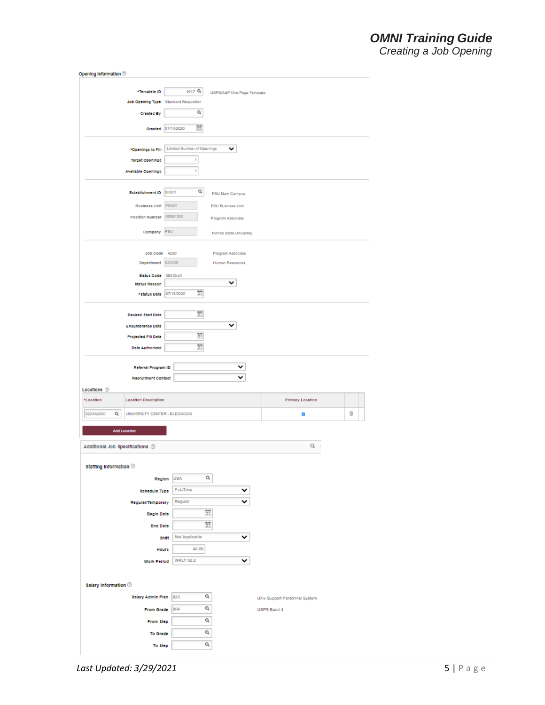### *OMNI Training Guide Creating a Job Opening*

| Opening Information ®                           |                                       |                            |                               |   |
|-------------------------------------------------|---------------------------------------|----------------------------|-------------------------------|---|
|                                                 |                                       |                            |                               |   |
| *Template ID                                    | 1017 Q                                | USPS/A&P One Page Template |                               |   |
|                                                 | Job Opening Type Standard Requisition |                            |                               |   |
| <b>Created By</b>                               | Q                                     |                            |                               |   |
|                                                 | Ē.<br>Created 07/13/2020              |                            |                               |   |
|                                                 |                                       |                            |                               |   |
| *Openings to Fill                               | <b>Limited Number of Openings</b>     | ╰                          |                               |   |
| <b>Target Openings</b>                          | 1                                     |                            |                               |   |
| <b>Available Openings</b>                       | Ŧ                                     |                            |                               |   |
| Establishment ID                                | Q<br>00001                            | <b>FSU Main Campus</b>     |                               |   |
| <b>Business Unit</b>                            | FSU01                                 | <b>FSU Business Unit</b>   |                               |   |
| <b>Position Number</b>                          | 00081300                              |                            |                               |   |
| Company                                         | FSU                                   | Program Associate          |                               |   |
|                                                 |                                       | Florida State University   |                               |   |
| Job Code 4250                                   |                                       | Program Associate          |                               |   |
| Department 025000                               |                                       | Human Resources            |                               |   |
| Status Code 005 Draft                           |                                       |                            |                               |   |
| <b>Status Reason</b>                            |                                       | ╰                          |                               |   |
| *8tatus Date 07/13/2020                         | 苗                                     |                            |                               |   |
|                                                 | Ë                                     |                            |                               |   |
| <b>Decired Start Date</b>                       |                                       |                            |                               |   |
| <b>Enoumbrance Date</b>                         |                                       | v                          |                               |   |
| Projected FIII Date                             | Ē                                     |                            |                               |   |
| <b>Date Authorized</b>                          | ËÎ                                    |                            |                               |   |
| Referral Program ID                             |                                       |                            |                               |   |
| <b>Reoruitment Contact</b>                      |                                       |                            |                               |   |
| Locations <sup>7</sup>                          |                                       |                            |                               |   |
| *Location<br><b>Location Description</b>        |                                       |                            | <b>Primary Location</b>       |   |
| 0223A6200<br>Q<br>UNIVERSITY CENTER - BLDGA6200 |                                       |                            | V                             | û |
|                                                 |                                       |                            |                               |   |
| <b>Add Location</b>                             |                                       |                            |                               |   |
| Additional Job Specifications 3                 |                                       |                            | Q I                           |   |
| Staffing Information ®                          |                                       |                            |                               |   |
| Region                                          | <b>USA</b>                            | Q                          |                               |   |
| <b>Schedule Type</b>                            | Full-Time                             |                            |                               |   |
| Regular/Temporary                               | Regular                               |                            |                               |   |
|                                                 |                                       | 苗                          |                               |   |
| <b>Begin Date</b>                               |                                       |                            |                               |   |
| <b>End Date</b>                                 |                                       | Ë.                         |                               |   |
| shift                                           | Not Applicable                        | v                          |                               |   |
| Hourt                                           | 40.00                                 |                            |                               |   |
| Work Period                                     | <b>WKLY 52.2</b>                      | v                          |                               |   |
|                                                 |                                       |                            |                               |   |
| Salary Information ®                            |                                       |                            |                               |   |
| <b>Salary Admin Plan</b>                        | 023                                   | Q                          | Univ Support Personnel System |   |
| From Grade                                      | 004                                   | a                          | USPS Band 4                   |   |
|                                                 |                                       | Q                          |                               |   |
| From Step                                       |                                       |                            |                               |   |
|                                                 |                                       |                            |                               |   |
| To Grade<br>To Step                             |                                       | Q<br>Q                     |                               |   |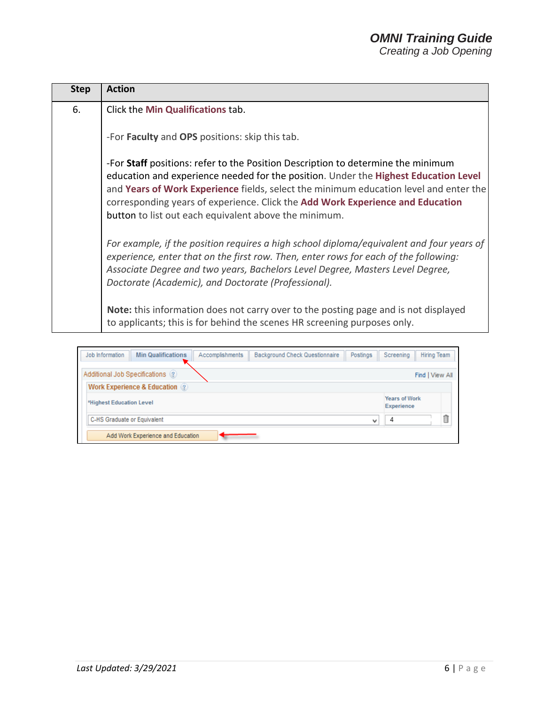| <b>Step</b> | <b>Action</b>                                                                                                                                                                                                                                                                                                                                                                                               |
|-------------|-------------------------------------------------------------------------------------------------------------------------------------------------------------------------------------------------------------------------------------------------------------------------------------------------------------------------------------------------------------------------------------------------------------|
| 6.          | Click the Min Qualifications tab.                                                                                                                                                                                                                                                                                                                                                                           |
|             | -For Faculty and OPS positions: skip this tab.                                                                                                                                                                                                                                                                                                                                                              |
|             | -For Staff positions: refer to the Position Description to determine the minimum<br>education and experience needed for the position. Under the Highest Education Level<br>and Years of Work Experience fields, select the minimum education level and enter the<br>corresponding years of experience. Click the Add Work Experience and Education<br>button to list out each equivalent above the minimum. |
|             | For example, if the position requires a high school diploma/equivalent and four years of<br>experience, enter that on the first row. Then, enter rows for each of the following:<br>Associate Degree and two years, Bachelors Level Degree, Masters Level Degree,<br>Doctorate (Academic), and Doctorate (Professional).                                                                                    |
|             | Note: this information does not carry over to the posting page and is not displayed<br>to applicants; this is for behind the scenes HR screening purposes only.                                                                                                                                                                                                                                             |

| <b>Min Qualifications</b><br><b>Background Check Questionnaire</b><br>Job Information<br>Accomplishments | Postings     | Screening                                 | <b>Hiring Team</b> |
|----------------------------------------------------------------------------------------------------------|--------------|-------------------------------------------|--------------------|
| Additional Job Specifications (2)                                                                        |              |                                           | Find   View All    |
| <b>Work Experience &amp; Education</b> (?)                                                               |              |                                           |                    |
| *Highest Education Level                                                                                 |              | <b>Years of Work</b><br><b>Experience</b> |                    |
| C-HS Graduate or Equivalent                                                                              | $\checkmark$ | 4                                         | 白                  |
| Add Work Experience and Education                                                                        |              |                                           |                    |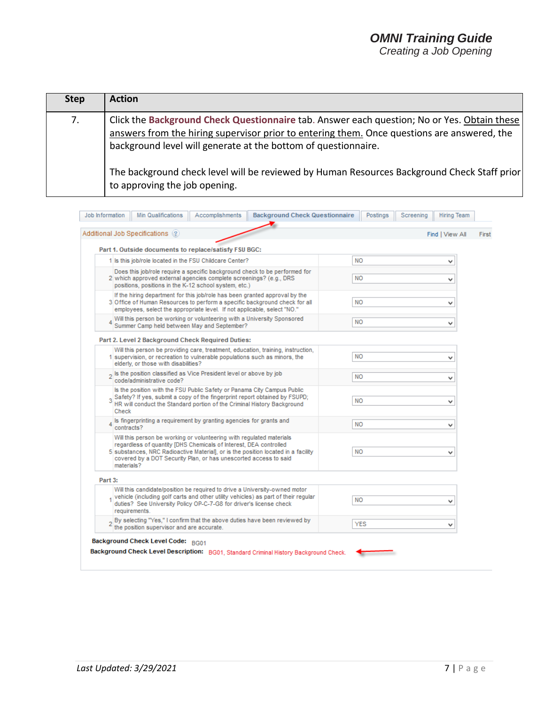### *OMNI Training Guide Creating a Job Opening*

**Step Action** 7. Click the **Background Check Questionnaire** tab. Answer each question; No or Yes. Obtain these answers from the hiring supervisor prior to entering them. Once questions are answered, the background level will generate at the bottom of questionnaire. The background check level will be reviewed by Human Resources Background Check Staff prior to approving the job opening.

| Additional Job Specifications (2)                                                                                                                                                                                                                                                                                | Find   View All |
|------------------------------------------------------------------------------------------------------------------------------------------------------------------------------------------------------------------------------------------------------------------------------------------------------------------|-----------------|
| Part 1. Outside documents to replace/satisfy FSU BGC:                                                                                                                                                                                                                                                            |                 |
| 1 Is this job/role located in the FSU Childcare Center?                                                                                                                                                                                                                                                          | <b>NO</b><br>v  |
| Does this job/role require a specific background check to be performed for<br>2 which approved external agencies complete screenings? (e.g., DRS)<br>positions, positions in the K-12 school system, etc.)                                                                                                       | <b>NO</b><br>v  |
| If the hiring department for this job/role has been granted approval by the<br>3 Office of Human Resources to perform a specific background check for all<br>employees, select the appropriate level. If not applicable, select "NO."                                                                            | <b>NO</b><br>v  |
| Will this person be working or volunteering with a University Sponsored<br>Summer Camp held between May and September?                                                                                                                                                                                           | <b>NO</b><br>v  |
| Part 2. Level 2 Background Check Required Duties:                                                                                                                                                                                                                                                                |                 |
| Will this person be providing care, treatment, education, training, instruction,<br>1 supervision, or recreation to vulnerable populations such as minors, the<br>elderly, or those with disabilities?                                                                                                           | <b>NO</b><br>v  |
| <sub>2</sub> Is the position classified as Vice President level or above by job<br>code/administrative code?                                                                                                                                                                                                     | <b>NO</b><br>v  |
| Is the position with the FSU Public Safety or Panama City Campus Public<br>Safety? If yes, submit a copy of the fingerprint report obtained by FSUPD;<br>HR will conduct the Standard portion of the Criminal History Background<br>Check                                                                        | <b>NO</b><br>v  |
| $_4$ Is fingerprinting a requirement by granting agencies for grants and<br>contracts?                                                                                                                                                                                                                           | <b>NO</b><br>v  |
| Will this person be working or volunteering with regulated materials<br>regardless of quantity [DHS Chemicals of Interest, DEA controlled<br>5 substances, NRC Radioactive Material), or is the position located in a facility<br>covered by a DOT Security Plan, or has unescorted access to said<br>materials? | <b>NO</b><br>v  |
| Part 3:                                                                                                                                                                                                                                                                                                          |                 |
| Will this candidate/position be required to drive a University-owned motor<br>1 vehicle (including golf carts and other utility vehicles) as part of their regular<br>duties? See University Policy OP-C-7-G8 for driver's license check<br>requirements.                                                        | <b>NO</b><br>v  |
| 2 By selecting "Yes," I confirm that the above duties have been reviewed by<br>the position supervisor and are accurate.                                                                                                                                                                                         | YES<br>v        |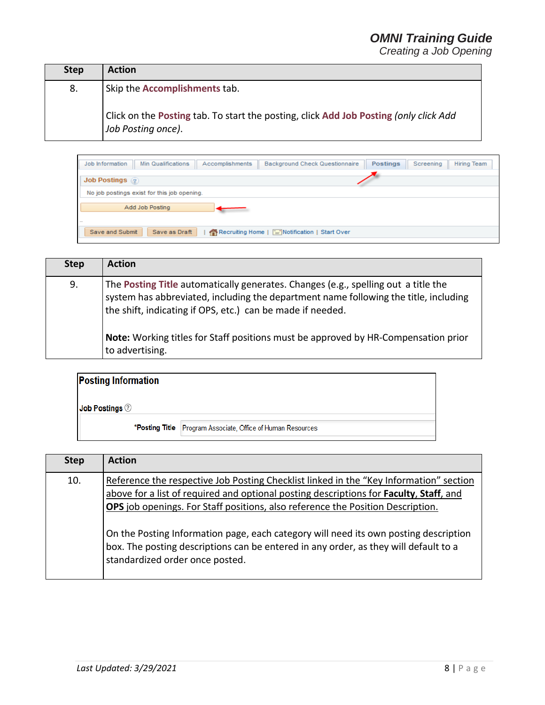| <b>Step</b> | <b>Action</b>                                                                                                          |
|-------------|------------------------------------------------------------------------------------------------------------------------|
| 8.          | Skip the Accomplishments tab.<br>Click on the Posting tab. To start the posting, click Add Job Posting (only click Add |
|             | Job Posting once).                                                                                                     |

| <b>Min Qualifications</b><br>Accomplishments<br><b>Background Check Questionnaire</b><br>Job Information | <b>Postings</b> | Screening | Hiring Team |
|----------------------------------------------------------------------------------------------------------|-----------------|-----------|-------------|
| <b>Job Postings</b>                                                                                      |                 |           |             |
| No job postings exist for this job opening.                                                              |                 |           |             |
| Add Job Posting                                                                                          |                 |           |             |
| $\overline{\phantom{a}}$                                                                                 |                 |           |             |
| Save as Draft<br>Save and Submit<br>Recruiting Home   <b>EXAMPLE IN</b> Notification   Start Over        |                 |           |             |

| <b>Step</b> | <b>Action</b>                                                                                                                                                                                                                                                                                                                                     |
|-------------|---------------------------------------------------------------------------------------------------------------------------------------------------------------------------------------------------------------------------------------------------------------------------------------------------------------------------------------------------|
| 9.          | The Posting Title automatically generates. Changes (e.g., spelling out a title the<br>system has abbreviated, including the department name following the title, including<br>the shift, indicating if OPS, etc.) can be made if needed.<br>Note: Working titles for Staff positions must be approved by HR-Compensation prior<br>to advertising. |

| <b>Posting Information</b>          |                                                             |  |
|-------------------------------------|-------------------------------------------------------------|--|
| $\vert$ Job Postings $\circledcirc$ |                                                             |  |
|                                     | *Posting Title Program Associate, Office of Human Resources |  |

| <b>Step</b> | <b>Action</b>                                                                                                                                                                                                                                                                                                                                                                                                                                                                          |
|-------------|----------------------------------------------------------------------------------------------------------------------------------------------------------------------------------------------------------------------------------------------------------------------------------------------------------------------------------------------------------------------------------------------------------------------------------------------------------------------------------------|
| 10.         | Reference the respective Job Posting Checklist linked in the "Key Information" section<br>above for a list of required and optional posting descriptions for Faculty, Staff, and<br>OPS job openings. For Staff positions, also reference the Position Description.<br>On the Posting Information page, each category will need its own posting description<br>box. The posting descriptions can be entered in any order, as they will default to a<br>standardized order once posted. |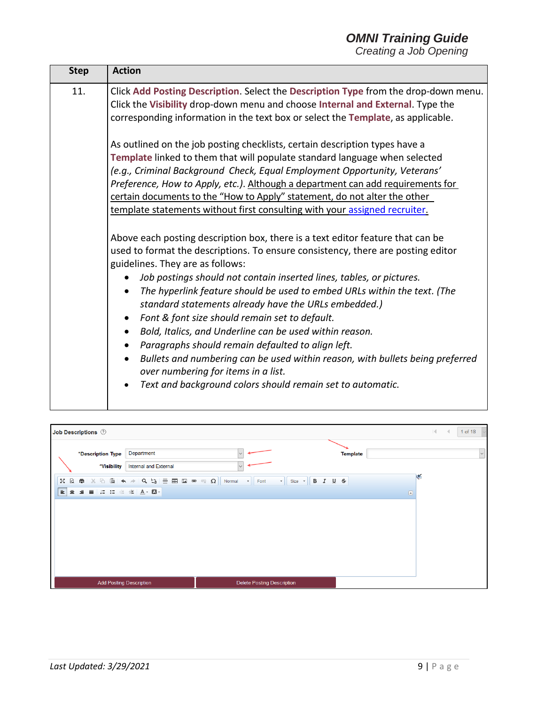| <b>Step</b> |                                                                                                                                                                                                                                                                                                                                                                                                                                                                                                                                                                                                                                                                                                                                                                                                                                                      |
|-------------|------------------------------------------------------------------------------------------------------------------------------------------------------------------------------------------------------------------------------------------------------------------------------------------------------------------------------------------------------------------------------------------------------------------------------------------------------------------------------------------------------------------------------------------------------------------------------------------------------------------------------------------------------------------------------------------------------------------------------------------------------------------------------------------------------------------------------------------------------|
| 11.         | <b>Action</b><br>Click Add Posting Description. Select the Description Type from the drop-down menu.<br>Click the Visibility drop-down menu and choose Internal and External. Type the<br>corresponding information in the text box or select the Template, as applicable.<br>As outlined on the job posting checklists, certain description types have a<br>Template linked to them that will populate standard language when selected<br>(e.g., Criminal Background Check, Equal Employment Opportunity, Veterans'<br>Preference, How to Apply, etc.). Although a department can add requirements for<br>certain documents to the "How to Apply" statement, do not alter the other<br>template statements without first consulting with your assigned recruiter.<br>Above each posting description box, there is a text editor feature that can be |
|             | used to format the descriptions. To ensure consistency, there are posting editor<br>guidelines. They are as follows:<br>Job postings should not contain inserted lines, tables, or pictures.<br>The hyperlink feature should be used to embed URLs within the text. (The<br>$\bullet$<br>standard statements already have the URLs embedded.)<br>Font & font size should remain set to default.<br>Bold, Italics, and Underline can be used within reason.<br>Paragraphs should remain defaulted to align left.<br>Bullets and numbering can be used within reason, with bullets being preferred<br>over numbering for items in a list.<br>Text and background colors should remain set to automatic.                                                                                                                                                |

|                                                              | Job Descriptions 2                                                                                                                                                                           |                                                                       |                 | $\mathbb{R}$ | 1 of 18 |
|--------------------------------------------------------------|----------------------------------------------------------------------------------------------------------------------------------------------------------------------------------------------|-----------------------------------------------------------------------|-----------------|--------------|---------|
|                                                              | Department<br><i><b>*Description Type</b></i><br>*Visibility<br>Internal and External                                                                                                        | $\vee$<br>$\vee$                                                      | <b>Template</b> |              | $\vee$  |
| $\frac{\pi}{2} \frac{N}{2}$<br>$\mathbb{Q}$<br>E<br>$\equiv$ | $  \times 1 \text{ in } \mathbb{R} \rightarrow  \mathcal{Q}  \Leftrightarrow  \mathcal{Q}  \equiv \mathbf{m} \boxtimes \mathbf{e} \ll \Omega$<br>面<br><b>ににまま▲ △</b><br>$\equiv$<br>$\equiv$ | B I U S<br>$\bullet$ Size $\bullet$<br>Normal<br>Font<br>$\mathbf{v}$ | $\circ$         | <b>KA</b>    |         |
|                                                              |                                                                                                                                                                                              |                                                                       |                 |              |         |
|                                                              |                                                                                                                                                                                              |                                                                       |                 |              |         |
|                                                              |                                                                                                                                                                                              |                                                                       |                 |              |         |
|                                                              | <b>Add Posting Description</b>                                                                                                                                                               | <b>Delete Posting Description</b>                                     |                 |              |         |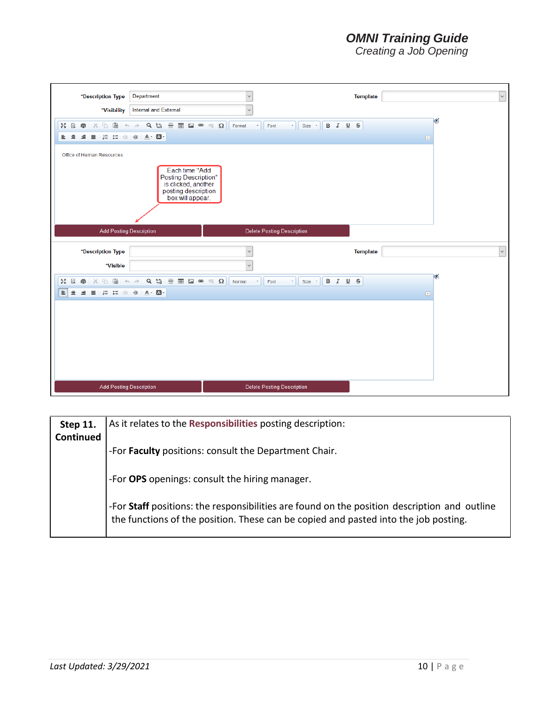| Department<br>*Description Type                                                                                                                                                                                                                                                                                                                                                                                                                                                                                                                                                                                 | $\checkmark$<br>$\checkmark$                                                                                 | $\backsim$<br><b>Template</b>                                               |
|-----------------------------------------------------------------------------------------------------------------------------------------------------------------------------------------------------------------------------------------------------------------------------------------------------------------------------------------------------------------------------------------------------------------------------------------------------------------------------------------------------------------------------------------------------------------------------------------------------------------|--------------------------------------------------------------------------------------------------------------|-----------------------------------------------------------------------------|
| Internal and External<br>*Visibility<br>個<br>$\bar{\mathbb{P}}$<br>$Q_{b1}$<br>$\equiv$ $\boxplus$ $\cong$<br>РÃ<br>$\alpha$<br>$\frac{1}{26}$<br>向<br>$\leftarrow$<br>$\rightarrow$<br>$A - A$<br>10 10 11<br>重量量<br>$\equiv$<br>Office of Human Resources<br>Each time "Add<br>Posting Description"<br>is clicked, another<br>posting description<br>box will appear.                                                                                                                                                                                                                                         | $\Omega$<br>Format<br>$^\circ$<br>Size *<br>$\mathcal{O}_{X}^{\infty}$<br>Font<br>$\scriptstyle\star$        | K<br>B I U <del>S</del><br>$\textcolor{blue}{\textcolor{blue}{\mathbf{C}}}$ |
| <b>Add Posting Description</b>                                                                                                                                                                                                                                                                                                                                                                                                                                                                                                                                                                                  | <b>Delete Posting Description</b>                                                                            |                                                                             |
| *Description Type                                                                                                                                                                                                                                                                                                                                                                                                                                                                                                                                                                                               | $\ddot{\phantom{0}}$                                                                                         | $\sim$<br><b>Template</b>                                                   |
| *Visible<br>$Q_{b}^{t}$<br>$\equiv \begin{array}{ccccccccccccccccc} \mathbf{a} & \mathbf{b} & \mathbf{c} & \mathbf{c} & \mathbf{c} & \mathbf{c} & \mathbf{c} & \mathbf{c} & \mathbf{c} & \mathbf{c} & \mathbf{c} & \mathbf{c} & \mathbf{c} & \mathbf{c} & \mathbf{c} & \mathbf{c} & \mathbf{c} & \mathbf{c} & \mathbf{c} & \mathbf{c} & \mathbf{c} & \mathbf{c} & \mathbf{c} & \mathbf{c} & \mathbf{c} & \mathbf{c} & \mathbf{c} & \mathbf{c} & \mathbf{c} & \mathbf{$<br>ħ<br>圃<br><b>RA</b><br>$\alpha$<br>商<br>$\chi$<br>$\equiv$<br>這這準据<br>$A - \Box$<br>三 三<br>$\equiv$<br><b>Add Posting Description</b> | $\checkmark$<br>Normal<br>$\;$<br>Size *<br>Font<br>$\scriptstyle\star$<br><b>Delete Posting Description</b> | Ō.<br>B I U S<br>$\textcolor{blue}{\textcolor{blue}{\textbf{c}}}$           |

| <b>Step 11.</b> | As it relates to the Responsibilities posting description:                                                                                                                          |  |  |
|-----------------|-------------------------------------------------------------------------------------------------------------------------------------------------------------------------------------|--|--|
| Continued       | -For Faculty positions: consult the Department Chair.                                                                                                                               |  |  |
|                 | -For OPS openings: consult the hiring manager.                                                                                                                                      |  |  |
|                 | -For Staff positions: the responsibilities are found on the position description and outline<br>the functions of the position. These can be copied and pasted into the job posting. |  |  |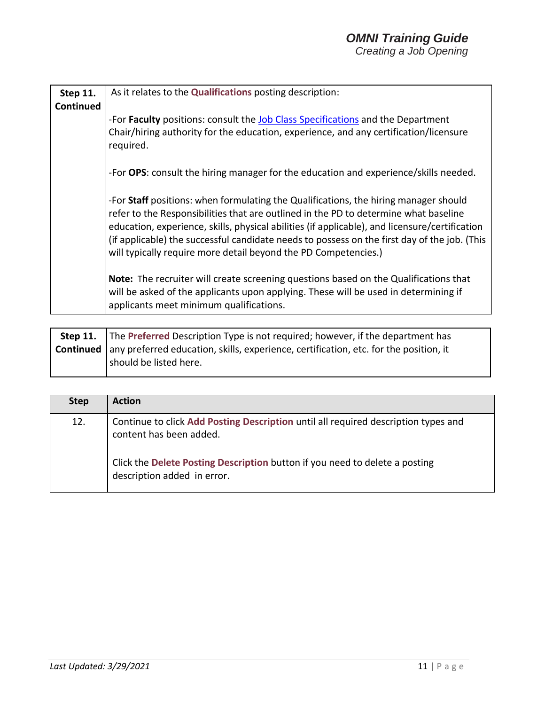| <b>Step 11.</b><br>Continued | As it relates to the Qualifications posting description:                                                                                                                                                                                                                                                                                                                                                                                          |  |  |
|------------------------------|---------------------------------------------------------------------------------------------------------------------------------------------------------------------------------------------------------------------------------------------------------------------------------------------------------------------------------------------------------------------------------------------------------------------------------------------------|--|--|
|                              | -For Faculty positions: consult the Job Class Specifications and the Department<br>Chair/hiring authority for the education, experience, and any certification/licensure<br>required.                                                                                                                                                                                                                                                             |  |  |
|                              | -For OPS: consult the hiring manager for the education and experience/skills needed.                                                                                                                                                                                                                                                                                                                                                              |  |  |
|                              | -For Staff positions: when formulating the Qualifications, the hiring manager should<br>refer to the Responsibilities that are outlined in the PD to determine what baseline<br>education, experience, skills, physical abilities (if applicable), and licensure/certification<br>(if applicable) the successful candidate needs to possess on the first day of the job. (This<br>will typically require more detail beyond the PD Competencies.) |  |  |
|                              | <b>Note:</b> The recruiter will create screening questions based on the Qualifications that<br>will be asked of the applicants upon applying. These will be used in determining if<br>applicants meet minimum qualifications.                                                                                                                                                                                                                     |  |  |

| <b>Step 11.</b> The Preferred Description Type is not required; however, if the department has         |  |
|--------------------------------------------------------------------------------------------------------|--|
| <b>Continued</b> any preferred education, skills, experience, certification, etc. for the position, it |  |
| should be listed here.                                                                                 |  |

| <b>Step</b> | <b>Action</b>                                                                                                 |
|-------------|---------------------------------------------------------------------------------------------------------------|
| 12.         | Continue to click Add Posting Description until all required description types and<br>content has been added. |
|             | Click the Delete Posting Description button if you need to delete a posting<br>description added in error.    |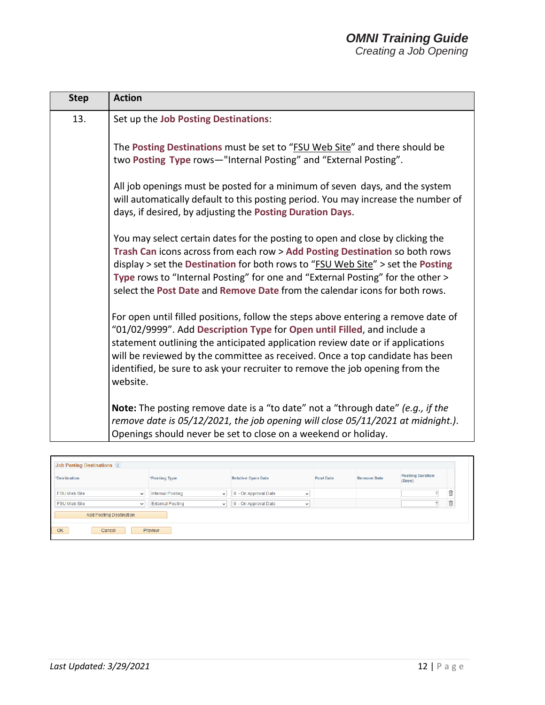| <b>Step</b> | <b>Action</b>                                                                                                                                                                                                                                                                                                                                                                                                              |
|-------------|----------------------------------------------------------------------------------------------------------------------------------------------------------------------------------------------------------------------------------------------------------------------------------------------------------------------------------------------------------------------------------------------------------------------------|
| 13.         | Set up the Job Posting Destinations:                                                                                                                                                                                                                                                                                                                                                                                       |
|             | The Posting Destinations must be set to "FSU Web Site" and there should be<br>two Posting Type rows-"Internal Posting" and "External Posting".                                                                                                                                                                                                                                                                             |
|             | All job openings must be posted for a minimum of seven days, and the system<br>will automatically default to this posting period. You may increase the number of<br>days, if desired, by adjusting the Posting Duration Days.                                                                                                                                                                                              |
|             | You may select certain dates for the posting to open and close by clicking the<br>Trash Can icons across from each row > Add Posting Destination so both rows<br>display > set the Destination for both rows to "FSU Web Site" > set the Posting<br>Type rows to "Internal Posting" for one and "External Posting" for the other ><br>select the Post Date and Remove Date from the calendar icons for both rows.          |
|             | For open until filled positions, follow the steps above entering a remove date of<br>"01/02/9999". Add Description Type for Open until Filled, and include a<br>statement outlining the anticipated application review date or if applications<br>will be reviewed by the committee as received. Once a top candidate has been<br>identified, be sure to ask your recruiter to remove the job opening from the<br>website. |
|             | <b>Note:</b> The posting remove date is a "to date" not a "through date" (e.g., if the<br>remove date is 05/12/2021, the job opening will close 05/11/2021 at midnight.).<br>Openings should never be set to close on a weekend or holiday.                                                                                                                                                                                |

| <b>Job Posting Destinations</b> 2 |                                         |                                      |                  |                    |                                   |   |  |
|-----------------------------------|-----------------------------------------|--------------------------------------|------------------|--------------------|-----------------------------------|---|--|
| *Destination                      | *Posting Type                           | <b>Relative Open Date</b>            | <b>Post Date</b> | <b>Remove Date</b> | <b>Posting Duration</b><br>(Days) |   |  |
| <b>FSU Web Site</b><br>v          | <b>Internal Posting</b><br>v            | 0 - On Approval Date<br>$\checkmark$ |                  |                    |                                   | 血 |  |
| <b>FSU Web Site</b><br>v          | <b>External Posting</b><br>$\checkmark$ | 0 - On Approval Date<br>$\checkmark$ |                  |                    |                                   | Ô |  |
| <b>Add Posting Destination</b>    |                                         |                                      |                  |                    |                                   |   |  |
| OK<br>Cancel<br>Preview           |                                         |                                      |                  |                    |                                   |   |  |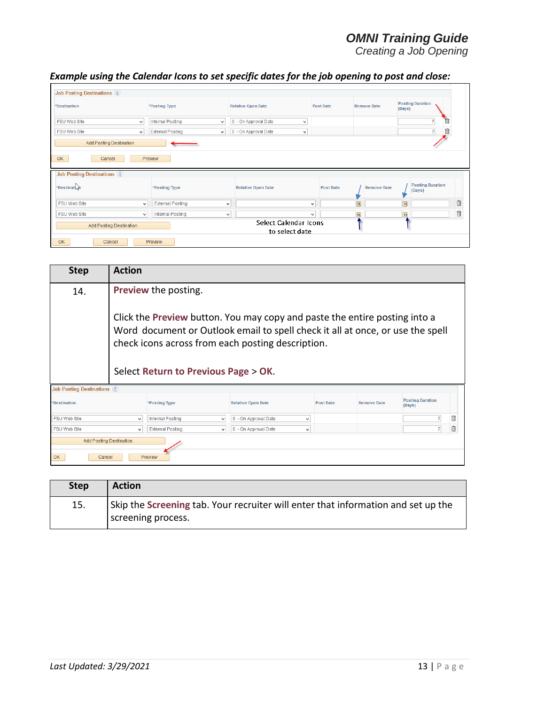*Creating a Job Opening*

## *Example using the Calendar Icons to set specific dates for the job opening to post and close:*

| <b>Job Posting Destinations (?)</b> |                                         |                                         |                  |                    |                                   |   |  |
|-------------------------------------|-----------------------------------------|-----------------------------------------|------------------|--------------------|-----------------------------------|---|--|
| *Destination                        | *Posting Type                           | <b>Relative Open Date</b>               | <b>Post Date</b> | <b>Remove Date</b> | <b>Posting Duration</b><br>(Days) |   |  |
| <b>FSU Web Site</b><br>$\checkmark$ | <b>Internal Posting</b><br>$\checkmark$ | 0 - On Approval Date<br>$\checkmark$    |                  |                    | $\overline{7}$                    |   |  |
| <b>FSU Web Site</b><br>$\checkmark$ | <b>External Posting</b><br>$\vee$       | 0 - On Approval Date<br>$\checkmark$    |                  |                    | Ó                                 |   |  |
| <b>Add Posting Destination</b>      |                                         |                                         |                  |                    |                                   |   |  |
| OK<br>Preview<br>Cancel             |                                         |                                         |                  |                    |                                   |   |  |
|                                     |                                         |                                         |                  |                    |                                   |   |  |
| <b>Job Posting Destinations (2)</b> |                                         |                                         |                  |                    |                                   |   |  |
| *Destination                        | *Posting Type                           | <b>Relative Open Date</b>               | <b>Post Date</b> | <b>Remove Date</b> | <b>Posting Duration</b><br>(Days) |   |  |
| <b>FSU Web Site</b><br>$\vee$       | <b>External Posting</b>                 | $\checkmark$                            | $\checkmark$     | BI                 | 間                                 | 自 |  |
| <b>FSU Web Site</b><br>$\vee$       | <b>Internal Posting</b>                 | $\checkmark$                            | ٧                | Ħ                  | FÜ                                | ñ |  |
| <b>Add Posting Destination</b>      |                                         | Select Calendar Icons<br>to select date |                  |                    |                                   |   |  |

| <b>Step</b>                                                      | <b>Action</b>                                                                                                                                                                                                                                             |                                         |                                      |                  |                    |                                   |    |
|------------------------------------------------------------------|-----------------------------------------------------------------------------------------------------------------------------------------------------------------------------------------------------------------------------------------------------------|-----------------------------------------|--------------------------------------|------------------|--------------------|-----------------------------------|----|
| 14.                                                              | <b>Preview the posting.</b>                                                                                                                                                                                                                               |                                         |                                      |                  |                    |                                   |    |
|                                                                  | Click the Preview button. You may copy and paste the entire posting into a<br>Word document or Outlook email to spell check it all at once, or use the spell<br>check icons across from each posting description.<br>Select Return to Previous Page > OK. |                                         |                                      |                  |                    |                                   |    |
| <b>Job Posting Destinations (?)</b>                              |                                                                                                                                                                                                                                                           |                                         |                                      |                  |                    |                                   |    |
| *Destination                                                     |                                                                                                                                                                                                                                                           | *Posting Type                           | <b>Relative Open Date</b>            | <b>Post Date</b> | <b>Remove Date</b> | <b>Posting Duration</b><br>(Days) |    |
| <b>FSU Web Site</b>                                              | $\checkmark$                                                                                                                                                                                                                                              | <b>Internal Posting</b><br>$\checkmark$ | 0 - On Approval Date<br>v            |                  |                    |                                   | fi |
| <b>FSU Web Site</b>                                              |                                                                                                                                                                                                                                                           | <b>External Posting</b><br>$\checkmark$ | 0 - On Approval Date<br>$\checkmark$ |                  |                    |                                   |    |
| <b>Add Posting Destination</b><br><b>OK</b><br>Preview<br>Cancel |                                                                                                                                                                                                                                                           |                                         |                                      |                  |                    |                                   |    |

| <b>Step</b> | <b>Action</b>                                                                                           |
|-------------|---------------------------------------------------------------------------------------------------------|
| 15.         | Skip the Screening tab. Your recruiter will enter that information and set up the<br>screening process. |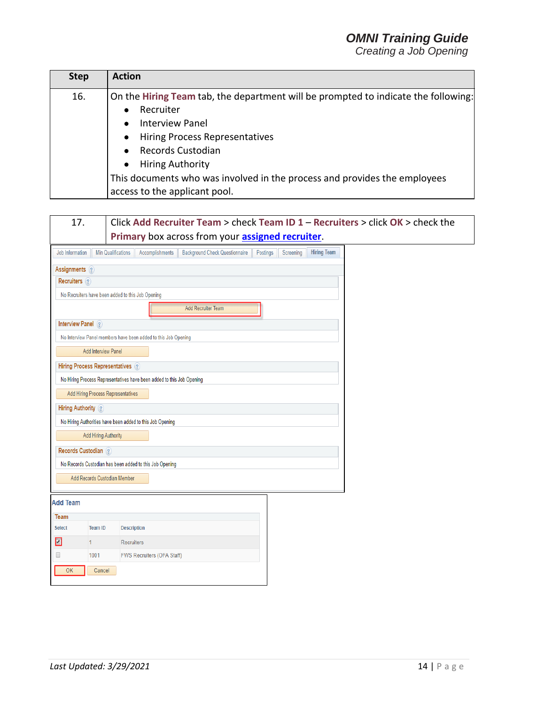| <b>Step</b> | <b>Action</b>                                                                      |
|-------------|------------------------------------------------------------------------------------|
| 16.         | On the Hiring Team tab, the department will be prompted to indicate the following: |
|             | Recruiter<br>$\bullet$                                                             |
|             | <b>Interview Panel</b><br>$\bullet$                                                |
|             | <b>Hiring Process Representatives</b><br>$\bullet$                                 |
|             | Records Custodian<br>$\bullet$                                                     |
|             | <b>Hiring Authority</b><br>$\bullet$                                               |
|             | This documents who was involved in the process and provides the employees          |
|             | access to the applicant pool.                                                      |

| 17.                       |                                    | Click Add Recruiter Team > check Team ID $1 -$ Recruiters > click OK > check the                               |
|---------------------------|------------------------------------|----------------------------------------------------------------------------------------------------------------|
|                           |                                    | Primary box across from your assigned recruiter.                                                               |
| Job Information           | <b>Min Qualifications</b>          | <b>Hiring Team</b><br><b>Accomplishments</b><br><b>Background Check Questionnaire</b><br>Postings<br>Screening |
| Assignments ?             |                                    |                                                                                                                |
| Recruiters ?              |                                    |                                                                                                                |
|                           |                                    | No Recruiters have been added to this Job Opening                                                              |
|                           |                                    | <b>Add Recruiter Team</b>                                                                                      |
| Interview Panel ?         |                                    |                                                                                                                |
|                           |                                    | No Interview Panel members have been added to this Job Opening                                                 |
|                           | <b>Add Interview Panel</b>         |                                                                                                                |
|                           | Hiring Process Representatives ?   |                                                                                                                |
|                           |                                    | No Hiring Process Representatives have been added to this Job Opening                                          |
|                           | Add Hiring Process Representatives |                                                                                                                |
| <b>Hiring Authority</b> ? |                                    |                                                                                                                |
|                           |                                    | No Hiring Authorities have been added to this Job Opening                                                      |
|                           | <b>Add Hiring Authority</b>        |                                                                                                                |
| Records Custodian ?       |                                    |                                                                                                                |
|                           |                                    | No Records Custodian has been added to this Job Opening                                                        |
|                           | Add Records Custodian Member       |                                                                                                                |
|                           |                                    |                                                                                                                |
| <b>Add Team</b>           |                                    |                                                                                                                |
| <b>Team</b>               |                                    |                                                                                                                |
| <b>Select</b>             | <b>Team ID</b>                     | <b>Description</b>                                                                                             |
| $\Box$                    | 1.                                 | Recruiters                                                                                                     |
| $\Box$                    | 1001                               | FWS Recruiters (OFA Staff)                                                                                     |
| OK                        | Cancel                             |                                                                                                                |
|                           |                                    |                                                                                                                |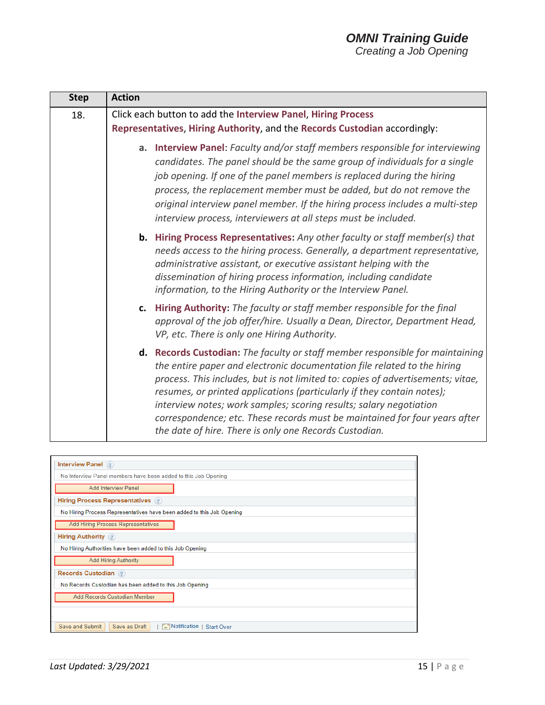### *OMNI Training Guide Creating a Job Opening*

| <b>Action</b>                                                                                                                                                                                                                                                                                                                                                                                                                                                                                                                        |
|--------------------------------------------------------------------------------------------------------------------------------------------------------------------------------------------------------------------------------------------------------------------------------------------------------------------------------------------------------------------------------------------------------------------------------------------------------------------------------------------------------------------------------------|
| Click each button to add the Interview Panel, Hiring Process<br>Representatives, Hiring Authority, and the Records Custodian accordingly:                                                                                                                                                                                                                                                                                                                                                                                            |
| a. Interview Panel: Faculty and/or staff members responsible for interviewing<br>candidates. The panel should be the same group of individuals for a single<br>job opening. If one of the panel members is replaced during the hiring<br>process, the replacement member must be added, but do not remove the<br>original interview panel member. If the hiring process includes a multi-step<br>interview process, interviewers at all steps must be included.                                                                      |
| <b>b.</b> Hiring Process Representatives: Any other faculty or staff member(s) that<br>needs access to the hiring process. Generally, a department representative,<br>administrative assistant, or executive assistant helping with the<br>dissemination of hiring process information, including candidate<br>information, to the Hiring Authority or the Interview Panel.                                                                                                                                                          |
| c. Hiring Authority: The faculty or staff member responsible for the final<br>approval of the job offer/hire. Usually a Dean, Director, Department Head,<br>VP, etc. There is only one Hiring Authority.                                                                                                                                                                                                                                                                                                                             |
| d. Records Custodian: The faculty or staff member responsible for maintaining<br>the entire paper and electronic documentation file related to the hiring<br>process. This includes, but is not limited to: copies of advertisements; vitae,<br>resumes, or printed applications (particularly if they contain notes);<br>interview notes; work samples; scoring results; salary negotiation<br>correspondence; etc. These records must be maintained for four years after<br>the date of hire. There is only one Records Custodian. |
|                                                                                                                                                                                                                                                                                                                                                                                                                                                                                                                                      |

| Interview Panel (?)                                                              |  |  |  |
|----------------------------------------------------------------------------------|--|--|--|
| No Interview Panel members have been added to this Job Opening                   |  |  |  |
| <b>Add Interview Panel</b>                                                       |  |  |  |
| Hiring Process Representatives (?)                                               |  |  |  |
| No Hiring Process Representatives have been added to this Job Opening            |  |  |  |
| <b>Add Hiring Process Representatives</b>                                        |  |  |  |
| <b>Hiring Authority</b> (?)                                                      |  |  |  |
| No Hiring Authorities have been added to this Job Opening                        |  |  |  |
| <b>Add Hiring Authority</b>                                                      |  |  |  |
| Records Custodian (?)                                                            |  |  |  |
| No Records Custodian has been added to this Job Opening                          |  |  |  |
| Add Records Custodian Member                                                     |  |  |  |
|                                                                                  |  |  |  |
|                                                                                  |  |  |  |
| Save and Submit<br>$\equiv$ Notification  <br>Save as Draft<br><b>Start Over</b> |  |  |  |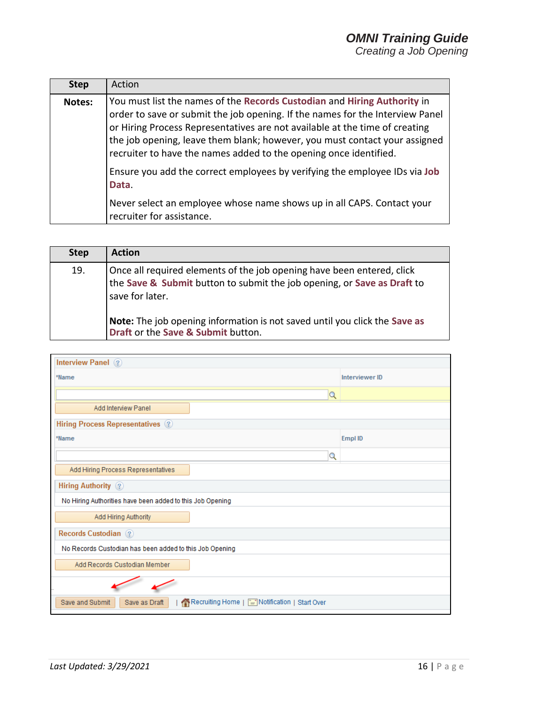|        | <b>Step</b> | Action                                                                                                                                                                                                                                                                                                                                                                                      |
|--------|-------------|---------------------------------------------------------------------------------------------------------------------------------------------------------------------------------------------------------------------------------------------------------------------------------------------------------------------------------------------------------------------------------------------|
| Notes: |             | You must list the names of the Records Custodian and Hiring Authority in<br>order to save or submit the job opening. If the names for the Interview Panel<br>or Hiring Process Representatives are not available at the time of creating<br>the job opening, leave them blank; however, you must contact your assigned<br>recruiter to have the names added to the opening once identified. |
|        |             | Ensure you add the correct employees by verifying the employee IDs via Job<br>Data.                                                                                                                                                                                                                                                                                                         |
|        |             | Never select an employee whose name shows up in all CAPS. Contact your<br>recruiter for assistance.                                                                                                                                                                                                                                                                                         |

| <b>Step</b> | <b>Action</b>                                                                                                                                                        |
|-------------|----------------------------------------------------------------------------------------------------------------------------------------------------------------------|
| 19.         | Once all required elements of the job opening have been entered, click<br>the Save & Submit button to submit the job opening, or Save as Draft to<br>save for later. |
|             | Note: The job opening information is not saved until you click the Save as<br>Draft or the Save & Submit button.                                                     |

| Interview Panel (?)                                                               |                |  |  |  |  |
|-----------------------------------------------------------------------------------|----------------|--|--|--|--|
| *Name                                                                             | Interviewer ID |  |  |  |  |
| Q                                                                                 |                |  |  |  |  |
| Add Interview Panel                                                               |                |  |  |  |  |
| <b>Hiring Process Representatives</b> 2                                           |                |  |  |  |  |
| *Name                                                                             | Empl ID        |  |  |  |  |
| Q                                                                                 |                |  |  |  |  |
| Add Hiring Process Representatives                                                |                |  |  |  |  |
| Hiring Authority ?                                                                |                |  |  |  |  |
| No Hiring Authorities have been added to this Job Opening                         |                |  |  |  |  |
| Add Hiring Authority                                                              |                |  |  |  |  |
| Records Custodian ?                                                               |                |  |  |  |  |
| No Records Custodian has been added to this Job Opening                           |                |  |  |  |  |
| Add Records Custodian Member                                                      |                |  |  |  |  |
|                                                                                   |                |  |  |  |  |
| Recruiting Home   [ Notification   Start Over<br>Save and Submit<br>Save as Draft |                |  |  |  |  |
|                                                                                   |                |  |  |  |  |